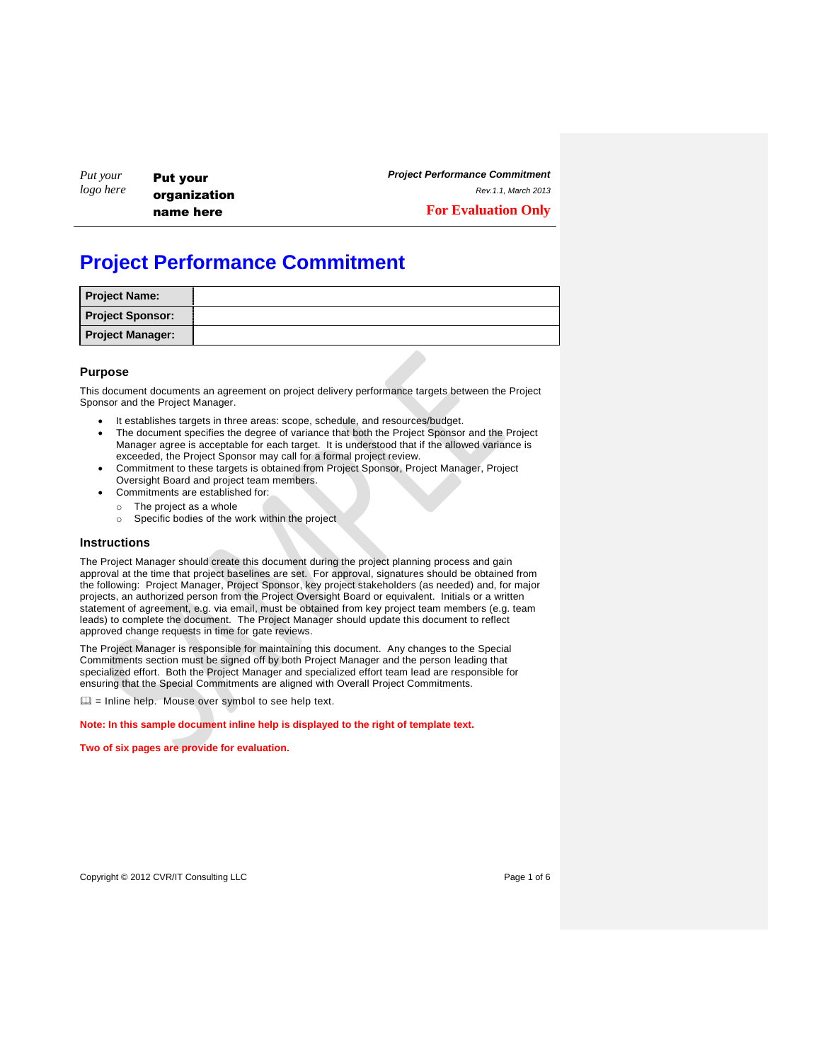| Put your<br>logo here | <b>Put your</b> |
|-----------------------|-----------------|
|                       | organization    |
|                       | name here       |

*Project Performance Commitment*

*Rev.1.1, March 2013*

**For Evaluation Only**

# **Project Performance Commitment**

| <b>Project Name:</b>    |  |
|-------------------------|--|
| <b>Project Sponsor:</b> |  |
| <b>Project Manager:</b> |  |

## **Purpose**

This document documents an agreement on project delivery performance targets between the Project Sponsor and the Project Manager.

- It establishes targets in three areas: scope, schedule, and resources/budget.
- The document specifies the degree of variance that both the Project Sponsor and the Project Manager agree is acceptable for each target. It is understood that if the allowed variance is exceeded, the Project Sponsor may call for a formal project review.
- Commitment to these targets is obtained from Project Sponsor, Project Manager, Project Oversight Board and project team members.
- Commitments are established for:
	- o The project as a whole
	- o Specific bodies of the work within the project

#### **Instructions**

The Project Manager should create this document during the project planning process and gain approval at the time that project baselines are set. For approval, signatures should be obtained from the following: Project Manager, Project Sponsor, key project stakeholders (as needed) and, for major projects, an authorized person from the Project Oversight Board or equivalent. Initials or a written statement of agreement, e.g. via email, must be obtained from key project team members (e.g. team leads) to complete the document. The Project Manager should update this document to reflect approved change requests in time for gate reviews.

The Project Manager is responsible for maintaining this document. Any changes to the Special Commitments section must be signed off by both Project Manager and the person leading that specialized effort. Both the Project Manager and specialized effort team lead are responsible for ensuring that the Special Commitments are aligned with Overall Project Commitments.

 $\Box$  = Inline help. Mouse over symbol to see help text.

**Note: In this sample document inline help is displayed to the right of template text.**

**Two of six pages are provide for evaluation.**

Copyright © 2012 CVR/IT Consulting LLC **COPYRIGHT CONSULT CONSULTS** Page 1 of 6